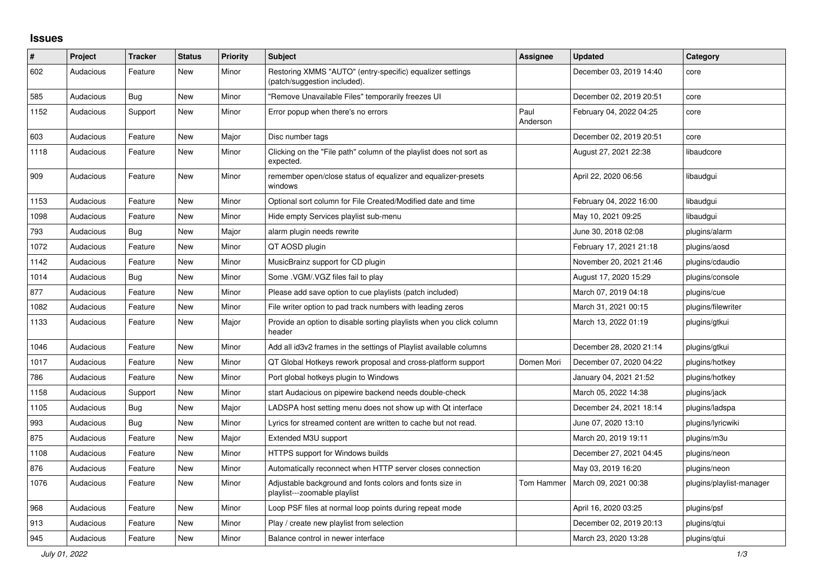## **Issues**

| $\#$ | Project   | <b>Tracker</b> | <b>Status</b> | <b>Priority</b> | <b>Subject</b>                                                                            | <b>Assignee</b>  | <b>Updated</b>          | Category                 |
|------|-----------|----------------|---------------|-----------------|-------------------------------------------------------------------------------------------|------------------|-------------------------|--------------------------|
| 602  | Audacious | Feature        | <b>New</b>    | Minor           | Restoring XMMS "AUTO" (entry-specific) equalizer settings<br>(patch/suggestion included). |                  | December 03, 2019 14:40 | core                     |
| 585  | Audacious | Bug            | <b>New</b>    | Minor           | "Remove Unavailable Files" temporarily freezes UI                                         |                  | December 02, 2019 20:51 | core                     |
| 1152 | Audacious | Support        | <b>New</b>    | Minor           | Error popup when there's no errors                                                        | Paul<br>Anderson | February 04, 2022 04:25 | core                     |
| 603  | Audacious | Feature        | <b>New</b>    | Major           | Disc number tags                                                                          |                  | December 02, 2019 20:51 | core                     |
| 1118 | Audacious | Feature        | <b>New</b>    | Minor           | Clicking on the "File path" column of the playlist does not sort as<br>expected.          |                  | August 27, 2021 22:38   | libaudcore               |
| 909  | Audacious | Feature        | New           | Minor           | remember open/close status of equalizer and equalizer-presets<br>windows                  |                  | April 22, 2020 06:56    | libaudgui                |
| 1153 | Audacious | Feature        | <b>New</b>    | Minor           | Optional sort column for File Created/Modified date and time                              |                  | February 04, 2022 16:00 | libaudgui                |
| 1098 | Audacious | Feature        | <b>New</b>    | Minor           | Hide empty Services playlist sub-menu                                                     |                  | May 10, 2021 09:25      | libaudgui                |
| 793  | Audacious | <b>Bug</b>     | <b>New</b>    | Major           | alarm plugin needs rewrite                                                                |                  | June 30, 2018 02:08     | plugins/alarm            |
| 1072 | Audacious | Feature        | <b>New</b>    | Minor           | QT AOSD plugin                                                                            |                  | February 17, 2021 21:18 | plugins/aosd             |
| 1142 | Audacious | Feature        | New           | Minor           | MusicBrainz support for CD plugin                                                         |                  | November 20, 2021 21:46 | plugins/cdaudio          |
| 1014 | Audacious | Bug            | <b>New</b>    | Minor           | Some .VGM/.VGZ files fail to play                                                         |                  | August 17, 2020 15:29   | plugins/console          |
| 877  | Audacious | Feature        | <b>New</b>    | Minor           | Please add save option to cue playlists (patch included)                                  |                  | March 07, 2019 04:18    | plugins/cue              |
| 1082 | Audacious | Feature        | <b>New</b>    | Minor           | File writer option to pad track numbers with leading zeros                                |                  | March 31, 2021 00:15    | plugins/filewriter       |
| 1133 | Audacious | Feature        | New           | Major           | Provide an option to disable sorting playlists when you click column<br>header            |                  | March 13, 2022 01:19    | plugins/gtkui            |
| 1046 | Audacious | Feature        | <b>New</b>    | Minor           | Add all id3v2 frames in the settings of Playlist available columns                        |                  | December 28, 2020 21:14 | plugins/gtkui            |
| 1017 | Audacious | Feature        | New           | Minor           | QT Global Hotkeys rework proposal and cross-platform support                              | Domen Mori       | December 07, 2020 04:22 | plugins/hotkey           |
| 786  | Audacious | Feature        | <b>New</b>    | Minor           | Port global hotkeys plugin to Windows                                                     |                  | January 04, 2021 21:52  | plugins/hotkey           |
| 1158 | Audacious | Support        | <b>New</b>    | Minor           | start Audacious on pipewire backend needs double-check                                    |                  | March 05, 2022 14:38    | plugins/jack             |
| 1105 | Audacious | <b>Bug</b>     | <b>New</b>    | Major           | LADSPA host setting menu does not show up with Qt interface                               |                  | December 24, 2021 18:14 | plugins/ladspa           |
| 993  | Audacious | <b>Bug</b>     | <b>New</b>    | Minor           | Lyrics for streamed content are written to cache but not read.                            |                  | June 07, 2020 13:10     | plugins/lyricwiki        |
| 875  | Audacious | Feature        | <b>New</b>    | Major           | Extended M3U support                                                                      |                  | March 20, 2019 19:11    | plugins/m3u              |
| 1108 | Audacious | Feature        | <b>New</b>    | Minor           | HTTPS support for Windows builds                                                          |                  | December 27, 2021 04:45 | plugins/neon             |
| 876  | Audacious | Feature        | New           | Minor           | Automatically reconnect when HTTP server closes connection                                |                  | May 03, 2019 16:20      | plugins/neon             |
| 1076 | Audacious | Feature        | <b>New</b>    | Minor           | Adjustable background and fonts colors and fonts size in<br>playlist---zoomable playlist  | Tom Hammer       | March 09, 2021 00:38    | plugins/playlist-manager |
| 968  | Audacious | Feature        | <b>New</b>    | Minor           | Loop PSF files at normal loop points during repeat mode                                   |                  | April 16, 2020 03:25    | plugins/psf              |
| 913  | Audacious | Feature        | <b>New</b>    | Minor           | Play / create new playlist from selection                                                 |                  | December 02, 2019 20:13 | plugins/qtui             |
| 945  | Audacious | Feature        | <b>New</b>    | Minor           | Balance control in newer interface                                                        |                  | March 23, 2020 13:28    | plugins/gtui             |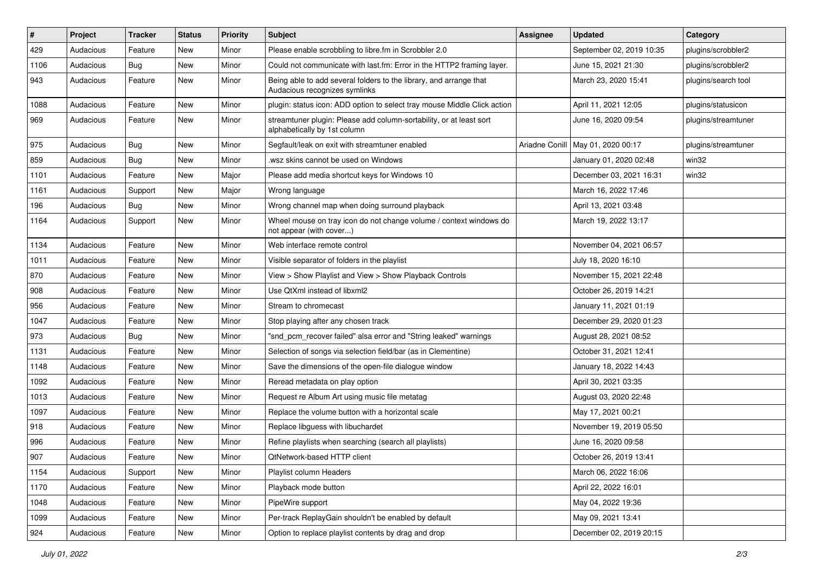| $\#$ | Project   | <b>Tracker</b> | <b>Status</b> | <b>Priority</b> | Subject                                                                                             | <b>Assignee</b> | <b>Updated</b>           | Category            |
|------|-----------|----------------|---------------|-----------------|-----------------------------------------------------------------------------------------------------|-----------------|--------------------------|---------------------|
| 429  | Audacious | Feature        | New           | Minor           | Please enable scrobbling to libre.fm in Scrobbler 2.0                                               |                 | September 02, 2019 10:35 | plugins/scrobbler2  |
| 1106 | Audacious | <b>Bug</b>     | New           | Minor           | Could not communicate with last.fm: Error in the HTTP2 framing layer.                               |                 | June 15, 2021 21:30      | plugins/scrobbler2  |
| 943  | Audacious | Feature        | New           | Minor           | Being able to add several folders to the library, and arrange that<br>Audacious recognizes symlinks |                 | March 23, 2020 15:41     | plugins/search tool |
| 1088 | Audacious | Feature        | <b>New</b>    | Minor           | plugin: status icon: ADD option to select tray mouse Middle Click action                            |                 | April 11, 2021 12:05     | plugins/statusicon  |
| 969  | Audacious | Feature        | New           | Minor           | streamtuner plugin: Please add column-sortability, or at least sort<br>alphabetically by 1st column |                 | June 16, 2020 09:54      | plugins/streamtuner |
| 975  | Audacious | <b>Bug</b>     | New           | Minor           | Segfault/leak on exit with streamtuner enabled                                                      | Ariadne Conill  | May 01, 2020 00:17       | plugins/streamtuner |
| 859  | Audacious | <b>Bug</b>     | New           | Minor           | wsz skins cannot be used on Windows                                                                 |                 | January 01, 2020 02:48   | win32               |
| 1101 | Audacious | Feature        | <b>New</b>    | Major           | Please add media shortcut keys for Windows 10                                                       |                 | December 03, 2021 16:31  | win32               |
| 1161 | Audacious | Support        | New           | Major           | Wrong language                                                                                      |                 | March 16, 2022 17:46     |                     |
| 196  | Audacious | <b>Bug</b>     | New           | Minor           | Wrong channel map when doing surround playback                                                      |                 | April 13, 2021 03:48     |                     |
| 1164 | Audacious | Support        | New           | Minor           | Wheel mouse on tray icon do not change volume / context windows do<br>not appear (with cover)       |                 | March 19, 2022 13:17     |                     |
| 1134 | Audacious | Feature        | <b>New</b>    | Minor           | Web interface remote control                                                                        |                 | November 04, 2021 06:57  |                     |
| 1011 | Audacious | Feature        | New           | Minor           | Visible separator of folders in the playlist                                                        |                 | July 18, 2020 16:10      |                     |
| 870  | Audacious | Feature        | New           | Minor           | View > Show Playlist and View > Show Playback Controls                                              |                 | November 15, 2021 22:48  |                     |
| 908  | Audacious | Feature        | New           | Minor           | Use QtXml instead of libxml2                                                                        |                 | October 26, 2019 14:21   |                     |
| 956  | Audacious | Feature        | New           | Minor           | Stream to chromecast                                                                                |                 | January 11, 2021 01:19   |                     |
| 1047 | Audacious | Feature        | New           | Minor           | Stop playing after any chosen track                                                                 |                 | December 29, 2020 01:23  |                     |
| 973  | Audacious | <b>Bug</b>     | New           | Minor           | "snd_pcm_recover failed" alsa error and "String leaked" warnings                                    |                 | August 28, 2021 08:52    |                     |
| 1131 | Audacious | Feature        | New           | Minor           | Selection of songs via selection field/bar (as in Clementine)                                       |                 | October 31, 2021 12:41   |                     |
| 1148 | Audacious | Feature        | New           | Minor           | Save the dimensions of the open-file dialogue window                                                |                 | January 18, 2022 14:43   |                     |
| 1092 | Audacious | Feature        | New           | Minor           | Reread metadata on play option                                                                      |                 | April 30, 2021 03:35     |                     |
| 1013 | Audacious | Feature        | New           | Minor           | Request re Album Art using music file metatag                                                       |                 | August 03, 2020 22:48    |                     |
| 1097 | Audacious | Feature        | New           | Minor           | Replace the volume button with a horizontal scale                                                   |                 | May 17, 2021 00:21       |                     |
| 918  | Audacious | Feature        | New           | Minor           | Replace libguess with libuchardet                                                                   |                 | November 19, 2019 05:50  |                     |
| 996  | Audacious | Feature        | <b>New</b>    | Minor           | Refine playlists when searching (search all playlists)                                              |                 | June 16, 2020 09:58      |                     |
| 907  | Audacious | Feature        | New           | Minor           | QtNetwork-based HTTP client                                                                         |                 | October 26, 2019 13:41   |                     |
| 1154 | Audacious | Support        | New           | Minor           | Playlist column Headers                                                                             |                 | March 06, 2022 16:06     |                     |
| 1170 | Audacious | Feature        | New           | Minor           | Playback mode button                                                                                |                 | April 22, 2022 16:01     |                     |
| 1048 | Audacious | Feature        | New           | Minor           | PipeWire support                                                                                    |                 | May 04, 2022 19:36       |                     |
| 1099 | Audacious | Feature        | New           | Minor           | Per-track ReplayGain shouldn't be enabled by default                                                |                 | May 09, 2021 13:41       |                     |
| 924  | Audacious | Feature        | New           | Minor           | Option to replace playlist contents by drag and drop                                                |                 | December 02, 2019 20:15  |                     |